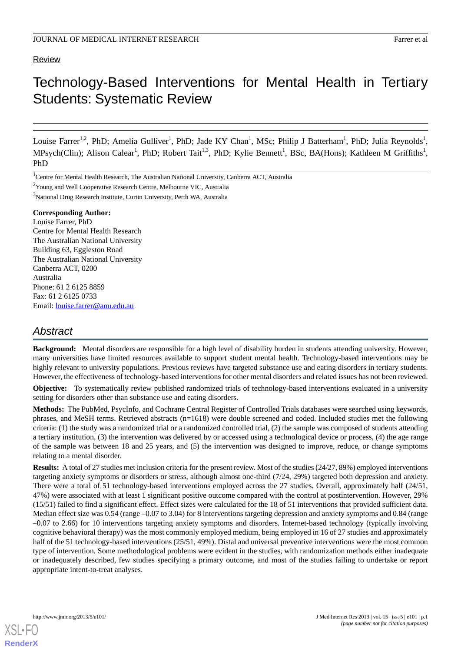# **Review**

# Technology-Based Interventions for Mental Health in Tertiary Students: Systematic Review

Louise Farrer<sup>1,2</sup>, PhD; Amelia Gulliver<sup>1</sup>, PhD; Jade KY Chan<sup>1</sup>, MSc; Philip J Batterham<sup>1</sup>, PhD; Julia Reynolds<sup>1</sup>, MPsych(Clin); Alison Calear<sup>1</sup>, PhD; Robert Tait<sup>1,3</sup>, PhD; Kylie Bennett<sup>1</sup>, BSc, BA(Hons); Kathleen M Griffiths<sup>1</sup>, PhD

#### **Corresponding Author:**

Louise Farrer, PhD Centre for Mental Health Research The Australian National University Building 63, Eggleston Road The Australian National University Canberra ACT, 0200 Australia Phone: 61 2 6125 8859 Fax: 61 2 6125 0733 Email: [louise.farrer@anu.edu.au](mailto:louise.farrer@anu.edu.au)

# *Abstract*

**Background:** Mental disorders are responsible for a high level of disability burden in students attending university. However, many universities have limited resources available to support student mental health. Technology-based interventions may be highly relevant to university populations. Previous reviews have targeted substance use and eating disorders in tertiary students. However, the effectiveness of technology-based interventions for other mental disorders and related issues has not been reviewed.

**Objective:** To systematically review published randomized trials of technology-based interventions evaluated in a university setting for disorders other than substance use and eating disorders.

**Methods:** The PubMed, PsycInfo, and Cochrane Central Register of Controlled Trials databases were searched using keywords, phrases, and MeSH terms. Retrieved abstracts (n=1618) were double screened and coded. Included studies met the following criteria: (1) the study was a randomized trial or a randomized controlled trial, (2) the sample was composed of students attending a tertiary institution, (3) the intervention was delivered by or accessed using a technological device or process, (4) the age range of the sample was between 18 and 25 years, and (5) the intervention was designed to improve, reduce, or change symptoms relating to a mental disorder.

**Results:** A total of 27 studies met inclusion criteria for the present review. Most of the studies (24/27, 89%) employed interventions targeting anxiety symptoms or disorders or stress, although almost one-third (7/24, 29%) targeted both depression and anxiety. There were a total of 51 technology-based interventions employed across the 27 studies. Overall, approximately half (24/51, 47%) were associated with at least 1 significant positive outcome compared with the control at postintervention. However, 29% (15/51) failed to find a significant effect. Effect sizes were calculated for the 18 of 51 interventions that provided sufficient data. Median effect size was 0.54 (range –0.07 to 3.04) for 8 interventions targeting depression and anxiety symptoms and 0.84 (range –0.07 to 2.66) for 10 interventions targeting anxiety symptoms and disorders. Internet-based technology (typically involving cognitive behavioral therapy) was the most commonly employed medium, being employed in 16 of 27 studies and approximately half of the 51 technology-based interventions (25/51, 49%). Distal and universal preventive interventions were the most common type of intervention. Some methodological problems were evident in the studies, with randomization methods either inadequate or inadequately described, few studies specifying a primary outcome, and most of the studies failing to undertake or report appropriate intent-to-treat analyses.

<sup>&</sup>lt;sup>1</sup>Centre for Mental Health Research, The Australian National University, Canberra ACT, Australia

<sup>2</sup>Young and Well Cooperative Research Centre, Melbourne VIC, Australia

<sup>3</sup>National Drug Research Institute, Curtin University, Perth WA, Australia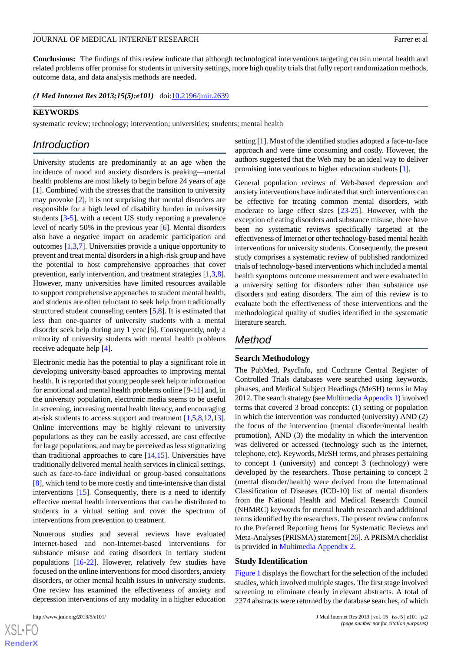**Conclusions:** The findings of this review indicate that although technological interventions targeting certain mental health and related problems offer promise for students in university settings, more high quality trials that fully report randomization methods, outcome data, and data analysis methods are needed.

(*J Med Internet Res 2013;15(5):e101*) doi: $10.2196/jmir.2639$ 

#### **KEYWORDS**

systematic review; technology; intervention; universities; students; mental health

# *Introduction*

University students are predominantly at an age when the incidence of mood and anxiety disorders is peaking—mental health problems are most likely to begin before 24 years of age [[1\]](#page-10-0). Combined with the stresses that the transition to university may provoke [\[2](#page-10-1)], it is not surprising that mental disorders are responsible for a high level of disability burden in university students [[3-](#page-10-2)[5](#page-10-3)], with a recent US study reporting a prevalence level of nearly 50% in the previous year [\[6](#page-10-4)]. Mental disorders also have a negative impact on academic participation and outcomes [[1,](#page-10-0)[3](#page-10-2),[7\]](#page-10-5). Universities provide a unique opportunity to prevent and treat mental disorders in a high-risk group and have the potential to host comprehensive approaches that cover prevention, early intervention, and treatment strategies [[1](#page-10-0)[,3](#page-10-2),[8\]](#page-11-0). However, many universities have limited resources available to support comprehensive approaches to student mental health, and students are often reluctant to seek help from traditionally structured student counseling centers [[5](#page-10-3)[,8](#page-11-0)]. It is estimated that less than one-quarter of university students with a mental disorder seek help during any 1 year [\[6](#page-10-4)]. Consequently, only a minority of university students with mental health problems receive adequate help [[4\]](#page-10-6).

Electronic media has the potential to play a significant role in developing university-based approaches to improving mental health. It is reported that young people seek help or information for emotional and mental health problems online [[9](#page-11-1)[-11](#page-11-2)] and, in the university population, electronic media seems to be useful in screening, increasing mental health literacy, and encouraging at-risk students to access support and treatment [[1](#page-10-0)[,5](#page-10-3),[8](#page-11-0)[,12](#page-11-3),[13\]](#page-11-4). Online interventions may be highly relevant to university populations as they can be easily accessed, are cost effective for large populations, and may be perceived as less stigmatizing than traditional approaches to care  $[14,15]$  $[14,15]$  $[14,15]$ . Universities have traditionally delivered mental health services in clinical settings, such as face-to-face individual or group-based consultations [[8\]](#page-11-0), which tend to be more costly and time-intensive than distal interventions [[15\]](#page-11-6). Consequently, there is a need to identify effective mental health interventions that can be distributed to students in a virtual setting and cover the spectrum of interventions from prevention to treatment.

Numerous studies and several reviews have evaluated Internet-based and non-Internet-based interventions for substance misuse and eating disorders in tertiary student populations [\[16](#page-11-7)[-22](#page-11-8)]. However, relatively few studies have focused on the online interventions for mood disorders, anxiety disorders, or other mental health issues in university students. One review has examined the effectiveness of anxiety and depression interventions of any modality in a higher education

setting [[1\]](#page-10-0). Most of the identified studies adopted a face-to-face approach and were time consuming and costly. However, the authors suggested that the Web may be an ideal way to deliver promising interventions to higher education students [[1\]](#page-10-0).

General population reviews of Web-based depression and anxiety interventions have indicated that such interventions can be effective for treating common mental disorders, with moderate to large effect sizes [[23-](#page-11-9)[25](#page-11-10)]. However, with the exception of eating disorders and substance misuse, there have been no systematic reviews specifically targeted at the effectiveness of Internet or other technology-based mental health interventions for university students. Consequently, the present study comprises a systematic review of published randomized trials of technology-based interventions which included a mental health symptoms outcome measurement and were evaluated in a university setting for disorders other than substance use disorders and eating disorders. The aim of this review is to evaluate both the effectiveness of these interventions and the methodological quality of studies identified in the systematic literature search.

# *Method*

#### **Search Methodology**

The PubMed, PsycInfo, and Cochrane Central Register of Controlled Trials databases were searched using keywords, phrases, and Medical Subject Headings (MeSH) terms in May 2012. The search strategy (see Multimedia Appendix 1) involved terms that covered 3 broad concepts: (1) setting or population in which the intervention was conducted (university) AND (2) the focus of the intervention (mental disorder/mental health promotion), AND (3) the modality in which the intervention was delivered or accessed (technology such as the Internet, telephone, etc). Keywords, MeSH terms, and phrases pertaining to concept 1 (university) and concept 3 (technology) were developed by the researchers. Those pertaining to concept 2 (mental disorder/health) were derived from the International Classification of Diseases (ICD-10) list of mental disorders from the National Health and Medical Research Council (NHMRC) keywords for mental health research and additional terms identified by the researchers. The present review conforms to the Preferred Reporting Items for Systematic Reviews and Meta-Analyses (PRISMA) statement [[26\]](#page-11-11). A PRISMA checklist is provided in Multimedia Appendix 2.

#### **Study Identification**

Figure 1 displays the flowchart for the selection of the included studies, which involved multiple stages. The first stage involved screening to eliminate clearly irrelevant abstracts. A total of 2274 abstracts were returned by the database searches, of which

 $XS$  $\cdot$ FC **[RenderX](http://www.renderx.com/)**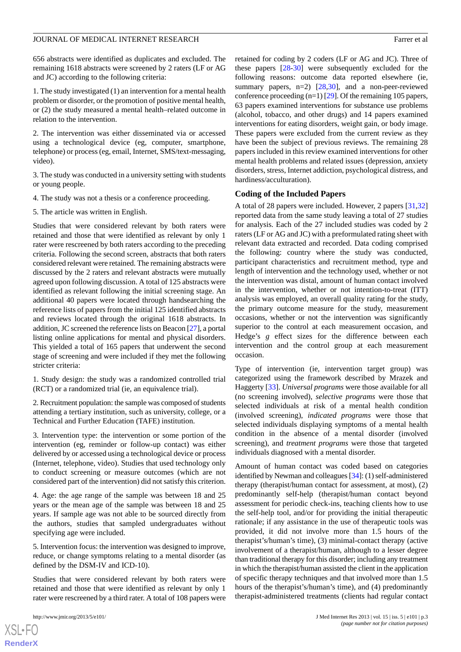656 abstracts were identified as duplicates and excluded. The remaining 1618 abstracts were screened by 2 raters (LF or AG and JC) according to the following criteria:

1. The study investigated (1) an intervention for a mental health problem or disorder, or the promotion of positive mental health, or (2) the study measured a mental health–related outcome in relation to the intervention.

2. The intervention was either disseminated via or accessed using a technological device (eg, computer, smartphone, telephone) or process (eg, email, Internet, SMS/text-messaging, video).

3. The study was conducted in a university setting with students or young people.

4. The study was not a thesis or a conference proceeding.

5. The article was written in English.

Studies that were considered relevant by both raters were retained and those that were identified as relevant by only 1 rater were rescreened by both raters according to the preceding criteria. Following the second screen, abstracts that both raters considered relevant were retained. The remaining abstracts were discussed by the 2 raters and relevant abstracts were mutually agreed upon following discussion. A total of 125 abstracts were identified as relevant following the initial screening stage. An additional 40 papers were located through handsearching the reference lists of papers from the initial 125 identified abstracts and reviews located through the original 1618 abstracts. In addition, JC screened the reference lists on Beacon [[27\]](#page-11-12), a portal listing online applications for mental and physical disorders. This yielded a total of 165 papers that underwent the second stage of screening and were included if they met the following stricter criteria:

1. Study design: the study was a randomized controlled trial (RCT) or a randomized trial (ie, an equivalence trial).

2. Recruitment population: the sample was composed of students attending a tertiary institution, such as university, college, or a Technical and Further Education (TAFE) institution.

3. Intervention type: the intervention or some portion of the intervention (eg, reminder or follow-up contact) was either delivered by or accessed using a technological device or process (Internet, telephone, video). Studies that used technology only to conduct screening or measure outcomes (which are not considered part of the intervention) did not satisfy this criterion.

4. Age: the age range of the sample was between 18 and 25 years or the mean age of the sample was between 18 and 25 years. If sample age was not able to be sourced directly from the authors, studies that sampled undergraduates without specifying age were included.

5. Intervention focus: the intervention was designed to improve, reduce, or change symptoms relating to a mental disorder (as defined by the DSM-IV and ICD-10).

Studies that were considered relevant by both raters were retained and those that were identified as relevant by only 1 rater were rescreened by a third rater. A total of 108 papers were

 $XS$  $\cdot$ FC **[RenderX](http://www.renderx.com/)** retained for coding by 2 coders (LF or AG and JC). Three of these papers [\[28](#page-11-13)-[30\]](#page-11-14) were subsequently excluded for the following reasons: outcome data reported elsewhere (ie, summary papers, n=2) [\[28](#page-11-13),[30\]](#page-11-14), and a non-peer-reviewed conference proceeding (n=1) [[29\]](#page-11-15). Of the remaining 105 papers, 63 papers examined interventions for substance use problems (alcohol, tobacco, and other drugs) and 14 papers examined interventions for eating disorders, weight gain, or body image. These papers were excluded from the current review as they have been the subject of previous reviews. The remaining 28 papers included in this review examined interventions for other mental health problems and related issues (depression, anxiety disorders, stress, Internet addiction, psychological distress, and hardiness/acculturation).

#### **Coding of the Included Papers**

A total of 28 papers were included. However, 2 papers [[31,](#page-11-16)[32\]](#page-11-17) reported data from the same study leaving a total of 27 studies for analysis. Each of the 27 included studies was coded by 2 raters (LF or AG and JC) with a preformulated rating sheet with relevant data extracted and recorded. Data coding comprised the following: country where the study was conducted, participant characteristics and recruitment method, type and length of intervention and the technology used, whether or not the intervention was distal, amount of human contact involved in the intervention, whether or not intention-to-treat (ITT) analysis was employed, an overall quality rating for the study, the primary outcome measure for the study, measurement occasions, whether or not the intervention was significantly superior to the control at each measurement occasion, and Hedge's *g* effect sizes for the difference between each intervention and the control group at each measurement occasion.

Type of intervention (ie, intervention target group) was categorized using the framework described by Mrazek and Haggerty [\[33](#page-11-18)]. *Universal programs* were those available for all (no screening involved), *selective programs* were those that selected individuals at risk of a mental health condition (involved screening), *indicated programs* were those that selected individuals displaying symptoms of a mental health condition in the absence of a mental disorder (involved screening), and *treatment programs* were those that targeted individuals diagnosed with a mental disorder.

Amount of human contact was coded based on categories identified by Newman and colleagues [\[34\]](#page-11-19): (1) self-administered therapy (therapist/human contact for assessment, at most), (2) predominantly self-help (therapist/human contact beyond assessment for periodic check-ins, teaching clients how to use the self-help tool, and/or for providing the initial therapeutic rationale; if any assistance in the use of therapeutic tools was provided, it did not involve more than 1.5 hours of the therapist's/human's time), (3) minimal-contact therapy (active involvement of a therapist/human, although to a lesser degree than traditional therapy for this disorder; including any treatment in which the therapist/human assisted the client in the application of specific therapy techniques and that involved more than 1.5 hours of the therapist's/human's time), and (4) predominantly therapist-administered treatments (clients had regular contact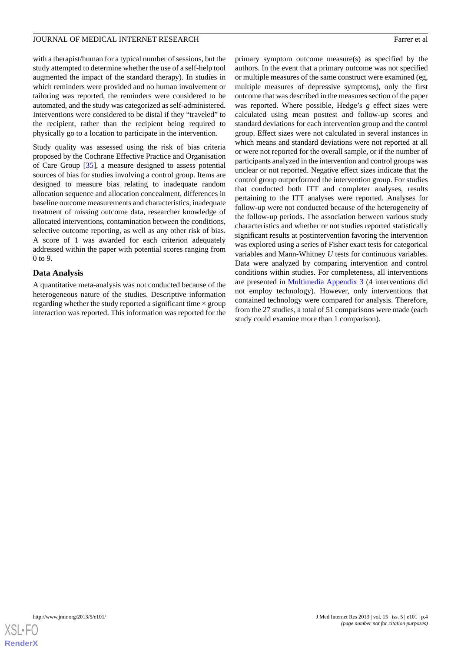with a therapist/human for a typical number of sessions, but the study attempted to determine whether the use of a self-help tool augmented the impact of the standard therapy). In studies in which reminders were provided and no human involvement or tailoring was reported, the reminders were considered to be automated, and the study was categorized as self-administered. Interventions were considered to be distal if they "traveled" to the recipient, rather than the recipient being required to physically go to a location to participate in the intervention.

Study quality was assessed using the risk of bias criteria proposed by the Cochrane Effective Practice and Organisation of Care Group [[35\]](#page-12-0), a measure designed to assess potential sources of bias for studies involving a control group. Items are designed to measure bias relating to inadequate random allocation sequence and allocation concealment, differences in baseline outcome measurements and characteristics, inadequate treatment of missing outcome data, researcher knowledge of allocated interventions, contamination between the conditions, selective outcome reporting, as well as any other risk of bias. A score of 1 was awarded for each criterion adequately addressed within the paper with potential scores ranging from 0 to 9.

# **Data Analysis**

A quantitative meta-analysis was not conducted because of the heterogeneous nature of the studies. Descriptive information regarding whether the study reported a significant time  $\times$  group interaction was reported. This information was reported for the primary symptom outcome measure(s) as specified by the authors. In the event that a primary outcome was not specified or multiple measures of the same construct were examined (eg, multiple measures of depressive symptoms), only the first outcome that was described in the measures section of the paper was reported. Where possible, Hedge's *g* effect sizes were calculated using mean posttest and follow-up scores and standard deviations for each intervention group and the control group. Effect sizes were not calculated in several instances in which means and standard deviations were not reported at all or were not reported for the overall sample, or if the number of participants analyzed in the intervention and control groups was unclear or not reported. Negative effect sizes indicate that the control group outperformed the intervention group. For studies that conducted both ITT and completer analyses, results pertaining to the ITT analyses were reported. Analyses for follow-up were not conducted because of the heterogeneity of the follow-up periods. The association between various study characteristics and whether or not studies reported statistically significant results at postintervention favoring the intervention was explored using a series of Fisher exact tests for categorical variables and Mann-Whitney *U* tests for continuous variables. Data were analyzed by comparing intervention and control conditions within studies. For completeness, all interventions are presented in Multimedia Appendix 3 (4 interventions did not employ technology). However, only interventions that contained technology were compared for analysis. Therefore, from the 27 studies, a total of 51 comparisons were made (each study could examine more than 1 comparison).

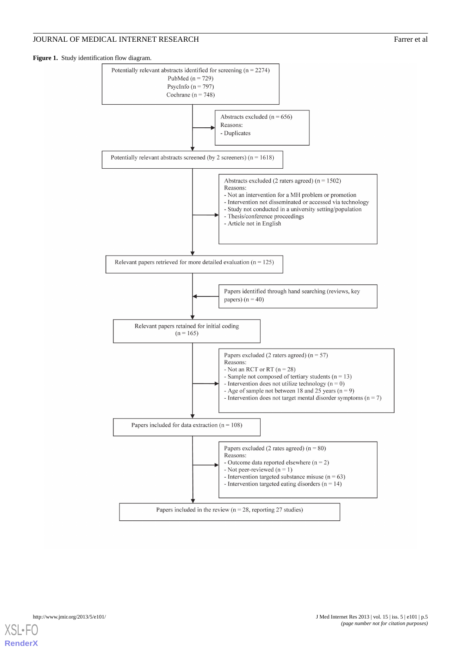# JOURNAL OF MEDICAL INTERNET RESEARCH FARRY CONTROLLER FAILURE FAILURE AT A SERIES OF MEDICAL INTERNET RESEARCH

**Figure 1.** Study identification flow diagram.



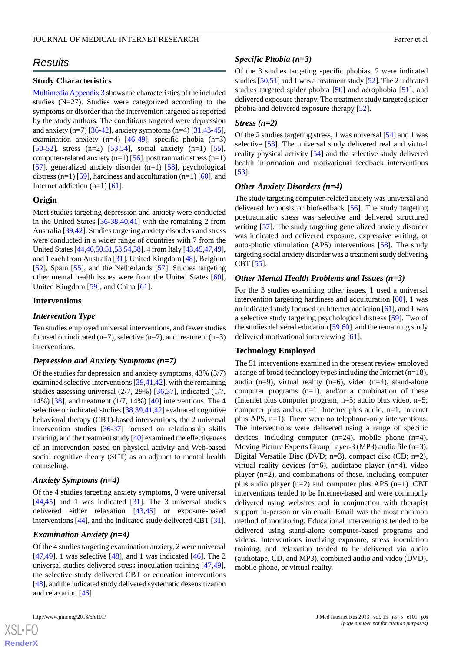# *Results*

### **Study Characteristics**

Multimedia Appendix 3 shows the characteristics of the included studies (N=27). Studies were categorized according to the symptoms or disorder that the intervention targeted as reported by the study authors. The conditions targeted were depression and anxiety (n=7) [[36-](#page-12-1)[42\]](#page-12-2), anxiety symptoms (n=4) [\[31](#page-11-16),[43-](#page-12-3)[45\]](#page-12-4), examination anxiety  $(n=4)$  [\[46](#page-12-5)-[49\]](#page-12-6), specific phobia  $(n=3)$ [[50](#page-12-7)[-52](#page-12-8)], stress (n=2) [[53,](#page-12-9)[54](#page-12-10)], social anxiety (n=1) [[55\]](#page-12-11), computer-related anxiety  $(n=1)$  [\[56](#page-12-12)], posttraumatic stress  $(n=1)$ [[57\]](#page-12-13), generalized anxiety disorder  $(n=1)$  [\[58](#page-12-14)], psychological distress (n=1) [\[59](#page-12-15)], hardiness and acculturation (n=1) [\[60](#page-12-16)], and Internet addiction  $(n=1)$  [[61\]](#page-13-0).

#### **Origin**

Most studies targeting depression and anxiety were conducted in the United States [\[36](#page-12-1)-[38,](#page-12-17)[40](#page-12-18),[41\]](#page-12-19) with the remaining 2 from Australia [\[39](#page-12-20),[42\]](#page-12-2). Studies targeting anxiety disorders and stress were conducted in a wider range of countries with 7 from the United States [\[44](#page-12-21)[,46](#page-12-5),[50](#page-12-7),[51](#page-12-22),[53,](#page-12-9)[54,](#page-12-10)[58\]](#page-12-14), 4 from Italy [[43,](#page-12-3)[45,](#page-12-4)[47](#page-12-23)[,49\]](#page-12-6), and 1 each from Australia [\[31](#page-11-16)], United Kingdom [\[48](#page-12-24)], Belgium [[52\]](#page-12-8), Spain [\[55](#page-12-11)], and the Netherlands [[57\]](#page-12-13). Studies targeting other mental health issues were from the United States [[60\]](#page-12-16), United Kingdom [[59\]](#page-12-15), and China [[61\]](#page-13-0).

# **Interventions**

#### *Intervention Type*

Ten studies employed universal interventions, and fewer studies focused on indicated  $(n=7)$ , selective  $(n=7)$ , and treatment  $(n=3)$ interventions.

# *Depression and Anxiety Symptoms (n=7)*

Of the studies for depression and anxiety symptoms, 43% (3/7) examined selective interventions [[39,](#page-12-20)[41](#page-12-19)[,42](#page-12-2)], with the remaining studies assessing universal (2/7, 29%) [\[36](#page-12-1),[37\]](#page-12-25), indicated (1/7, 14%) [\[38](#page-12-17)], and treatment (1/7, 14%) [\[40](#page-12-18)] interventions. The 4 selective or indicated studies [[38](#page-12-17)[,39](#page-12-20),[41](#page-12-19)[,42](#page-12-2)] evaluated cognitive behavioral therapy (CBT)-based interventions, the 2 universal intervention studies [\[36](#page-12-1)[-37](#page-12-25)] focused on relationship skills training, and the treatment study [\[40](#page-12-18)] examined the effectiveness of an intervention based on physical activity and Web-based social cognitive theory (SCT) as an adjunct to mental health counseling.

# *Anxiety Symptoms (n=4)*

Of the 4 studies targeting anxiety symptoms, 3 were universal [[44](#page-12-21)[,45](#page-12-4)] and 1 was indicated [\[31](#page-11-16)]. The 3 universal studies delivered either relaxation [\[43](#page-12-3),[45\]](#page-12-4) or exposure-based interventions [\[44](#page-12-21)], and the indicated study delivered CBT [[31\]](#page-11-16).

#### *Examination Anxiety (n=4)*

Of the 4 studies targeting examination anxiety, 2 were universal [[47](#page-12-23)[,49](#page-12-6)], 1 was selective [\[48](#page-12-24)], and 1 was indicated [\[46](#page-12-5)]. The 2 universal studies delivered stress inoculation training [\[47](#page-12-23),[49\]](#page-12-6), the selective study delivered CBT or education interventions [[48\]](#page-12-24), and the indicated study delivered systematic desensitization and relaxation [\[46](#page-12-5)].

 $XS$  $\cdot$ FC **[RenderX](http://www.renderx.com/)**

#### *Specific Phobia (n=3)*

Of the 3 studies targeting specific phobias, 2 were indicated studies [\[50](#page-12-7)[,51](#page-12-22)] and 1 was a treatment study [\[52](#page-12-8)]. The 2 indicated studies targeted spider phobia [[50\]](#page-12-7) and acrophobia [[51\]](#page-12-22), and delivered exposure therapy. The treatment study targeted spider phobia and delivered exposure therapy [[52\]](#page-12-8).

#### *Stress (n=2)*

Of the 2 studies targeting stress, 1 was universal [\[54](#page-12-10)] and 1 was selective [\[53](#page-12-9)]. The universal study delivered real and virtual reality physical activity [[54\]](#page-12-10) and the selective study delivered health information and motivational feedback interventions [[53\]](#page-12-9).

#### *Other Anxiety Disorders (n=4)*

The study targeting computer-related anxiety was universal and delivered hypnosis or biofeedback [\[56](#page-12-12)]. The study targeting posttraumatic stress was selective and delivered structured writing [[57\]](#page-12-13). The study targeting generalized anxiety disorder was indicated and delivered exposure, expressive writing, or auto-photic stimulation (APS) interventions [\[58](#page-12-14)]. The study targeting social anxiety disorder was a treatment study delivering CBT [[55\]](#page-12-11).

#### *Other Mental Health Problems and Issues (n=3)*

For the 3 studies examining other issues, 1 used a universal intervention targeting hardiness and acculturation [\[60](#page-12-16)], 1 was an indicated study focused on Internet addiction [\[61](#page-13-0)], and 1 was a selective study targeting psychological distress [[59\]](#page-12-15). Two of the studies delivered education [\[59](#page-12-15)[,60](#page-12-16)], and the remaining study delivered motivational interviewing [[61\]](#page-13-0).

#### **Technology Employed**

The 51 interventions examined in the present review employed a range of broad technology types including the Internet  $(n=18)$ , audio (n=9), virtual reality (n=6), video (n=4), stand-alone computer programs  $(n=1)$ , and/or a combination of these (Internet plus computer program, n=5; audio plus video, n=5; computer plus audio, n=1; Internet plus audio, n=1; Internet plus APS, n=1). There were no telephone-only interventions. The interventions were delivered using a range of specific devices, including computer  $(n=24)$ , mobile phone  $(n=4)$ , Moving Picture Experts Group Layer-3 (MP3) audio file (n=3), Digital Versatile Disc (DVD; n=3), compact disc (CD; n=2), virtual reality devices (n=6), audiotape player (n=4), video player (n=2), and combinations of these, including computer plus audio player  $(n=2)$  and computer plus APS  $(n=1)$ . CBT interventions tended to be Internet-based and were commonly delivered using websites and in conjunction with therapist support in-person or via email. Email was the most common method of monitoring. Educational interventions tended to be delivered using stand-alone computer-based programs and videos. Interventions involving exposure, stress inoculation training, and relaxation tended to be delivered via audio (audiotape, CD, and MP3), combined audio and video (DVD), mobile phone, or virtual reality.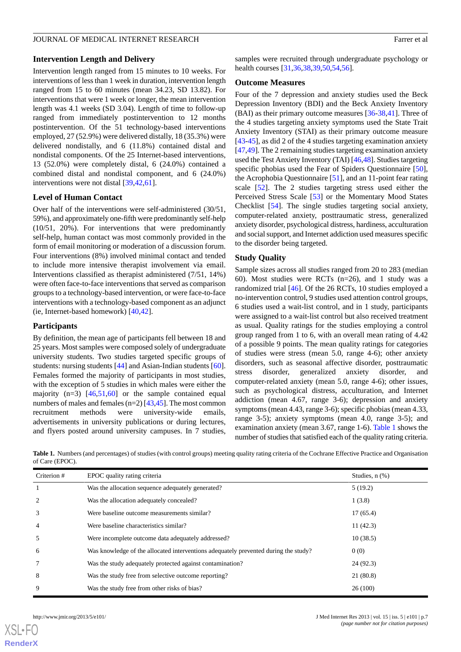#### **Intervention Length and Delivery**

Intervention length ranged from 15 minutes to 10 weeks. For interventions of less than 1 week in duration, intervention length ranged from 15 to 60 minutes (mean 34.23, SD 13.82). For interventions that were 1 week or longer, the mean intervention length was 4.1 weeks (SD 3.04). Length of time to follow-up ranged from immediately postintervention to 12 months postintervention. Of the 51 technology-based interventions employed, 27 (52.9%) were delivered distally, 18 (35.3%) were delivered nondistally, and 6 (11.8%) contained distal and nondistal components. Of the 25 Internet-based interventions, 13 (52.0%) were completely distal, 6 (24.0%) contained a combined distal and nondistal component, and 6 (24.0%) interventions were not distal [[39](#page-12-20)[,42](#page-12-2),[61\]](#page-13-0).

#### **Level of Human Contact**

Over half of the interventions were self-administered (30/51, 59%), and approximately one-fifth were predominantly self-help (10/51, 20%). For interventions that were predominantly self-help, human contact was most commonly provided in the form of email monitoring or moderation of a discussion forum. Four interventions (8%) involved minimal contact and tended to include more intensive therapist involvement via email. Interventions classified as therapist administered (7/51, 14%) were often face-to-face interventions that served as comparison groups to a technology-based intervention, or were face-to-face interventions with a technology-based component as an adjunct (ie, Internet-based homework) [\[40](#page-12-18),[42\]](#page-12-2).

# **Participants**

By definition, the mean age of participants fell between 18 and 25 years. Most samples were composed solely of undergraduate university students. Two studies targeted specific groups of students: nursing students [[44\]](#page-12-21) and Asian-Indian students [[60\]](#page-12-16). Females formed the majority of participants in most studies, with the exception of 5 studies in which males were either the majority  $(n=3)$  [[46](#page-12-5)[,51](#page-12-22),[60\]](#page-12-16) or the sample contained equal numbers of males and females  $(n=2)$  [\[43](#page-12-3)[,45](#page-12-4)]. The most common recruitment methods were university-wide emails, advertisements in university publications or during lectures, and flyers posted around university campuses. In 7 studies,

samples were recruited through undergraduate psychology or health courses [\[31](#page-11-16),[36](#page-12-1)[,38](#page-12-17),[39](#page-12-20)[,50](#page-12-7),[54](#page-12-10)[,56](#page-12-12)].

#### **Outcome Measures**

Four of the 7 depression and anxiety studies used the Beck Depression Inventory (BDI) and the Beck Anxiety Inventory (BAI) as their primary outcome measures [[36-](#page-12-1)[38](#page-12-17)[,41](#page-12-19)]. Three of the 4 studies targeting anxiety symptoms used the State Trait Anxiety Inventory (STAI) as their primary outcome measure [[43](#page-12-3)[-45](#page-12-4)], as did 2 of the 4 studies targeting examination anxiety [[47,](#page-12-23)[49\]](#page-12-6). The 2 remaining studies targeting examination anxiety used the Test Anxiety Inventory (TAI) [[46](#page-12-5)[,48](#page-12-24)]. Studies targeting specific phobias used the Fear of Spiders Questionnaire [[50\]](#page-12-7), the Acrophobia Questionnaire [\[51](#page-12-22)], and an 11-point fear rating scale [[52\]](#page-12-8). The 2 studies targeting stress used either the Perceived Stress Scale [[53\]](#page-12-9) or the Momentary Mood States Checklist [[54\]](#page-12-10). The single studies targeting social anxiety, computer-related anxiety, posttraumatic stress, generalized anxiety disorder, psychological distress, hardiness, acculturation and social support, and Internet addiction used measures specific to the disorder being targeted.

# **Study Quality**

Sample sizes across all studies ranged from 20 to 283 (median 60). Most studies were RCTs (n=26), and 1 study was a randomized trial [[46\]](#page-12-5). Of the 26 RCTs, 10 studies employed a no-intervention control, 9 studies used attention control groups, 6 studies used a wait-list control, and in 1 study, participants were assigned to a wait-list control but also received treatment as usual. Quality ratings for the studies employing a control group ranged from 1 to 6, with an overall mean rating of 4.42 of a possible 9 points. The mean quality ratings for categories of studies were stress (mean 5.0, range 4-6); other anxiety disorders, such as seasonal affective disorder, posttraumatic stress disorder, generalized anxiety disorder, and computer-related anxiety (mean 5.0, range 4-6); other issues, such as psychological distress, acculturation, and Internet addiction (mean 4.67, range 3-6); depression and anxiety symptoms (mean 4.43, range 3-6); specific phobias (mean 4.33, range 3-5); anxiety symptoms (mean 4.0, range 3-5); and examination anxiety (mean 3.67, range 1-6). Table 1 shows the number of studies that satisfied each of the quality rating criteria.

**Table 1.** Numbers (and percentages) of studies (with control groups) meeting quality rating criteria of the Cochrane Effective Practice and Organisation of Care (EPOC).

| Criterion # | EPOC quality rating criteria                                                        | Studies, $n$ $(\%)$ |
|-------------|-------------------------------------------------------------------------------------|---------------------|
|             | Was the allocation sequence adequately generated?                                   | 5(19.2)             |
| 2           | Was the allocation adequately concealed?                                            | 1(3.8)              |
| 3           | Were baseline outcome measurements similar?                                         | 17(65.4)            |
| 4           | Were baseline characteristics similar?                                              | 11(42.3)            |
| 5           | Were incomplete outcome data adequately addressed?                                  | 10(38.5)            |
| 6           | Was knowledge of the allocated interventions adequately prevented during the study? | 0(0)                |
|             | Was the study adequately protected against contamination?                           | 24 (92.3)           |
| 8           | Was the study free from selective outcome reporting?                                | 21 (80.8)           |
| 9           | Was the study free from other risks of bias?                                        | 26(100)             |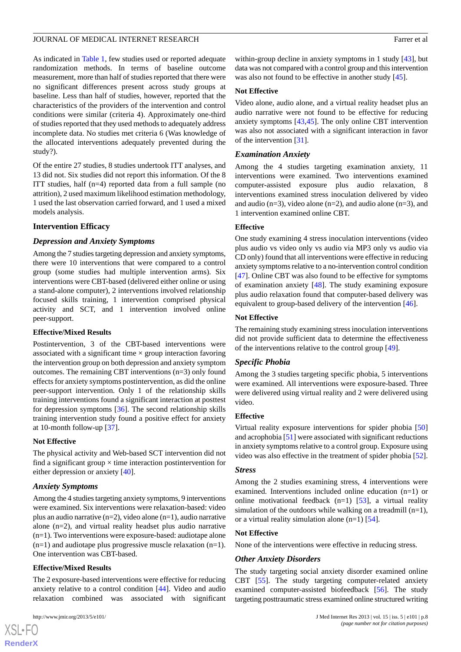As indicated in Table 1, few studies used or reported adequate randomization methods. In terms of baseline outcome measurement, more than half of studies reported that there were no significant differences present across study groups at baseline. Less than half of studies, however, reported that the characteristics of the providers of the intervention and control conditions were similar (criteria 4). Approximately one-third of studies reported that they used methods to adequately address incomplete data. No studies met criteria 6 (Was knowledge of the allocated interventions adequately prevented during the study?).

Of the entire 27 studies, 8 studies undertook ITT analyses, and 13 did not. Six studies did not report this information. Of the 8 ITT studies, half (n=4) reported data from a full sample (no attrition), 2 used maximum likelihood estimation methodology, 1 used the last observation carried forward, and 1 used a mixed models analysis.

# **Intervention Efficacy**

# *Depression and Anxiety Symptoms*

Among the 7 studies targeting depression and anxiety symptoms, there were 10 interventions that were compared to a control group (some studies had multiple intervention arms). Six interventions were CBT-based (delivered either online or using a stand-alone computer), 2 interventions involved relationship focused skills training, 1 intervention comprised physical activity and SCT, and 1 intervention involved online peer-support.

# **Effective/Mixed Results**

Postintervention, 3 of the CBT-based interventions were associated with a significant time  $\times$  group interaction favoring the intervention group on both depression and anxiety symptom outcomes. The remaining CBT interventions (n=3) only found effects for anxiety symptoms postintervention, as did the online peer-support intervention. Only 1 of the relationship skills training interventions found a significant interaction at posttest for depression symptoms [\[36](#page-12-1)]. The second relationship skills training intervention study found a positive effect for anxiety at 10-month follow-up [[37\]](#page-12-25).

# **Not Effective**

The physical activity and Web-based SCT intervention did not find a significant group  $\times$  time interaction postintervention for either depression or anxiety [\[40](#page-12-18)].

# *Anxiety Symptoms*

Among the 4 studies targeting anxiety symptoms, 9 interventions were examined. Six interventions were relaxation-based: video plus an audio narrative (n=2), video alone (n=1), audio narrative alone (n=2), and virtual reality headset plus audio narrative (n=1). Two interventions were exposure-based: audiotape alone  $(n=1)$  and audiotape plus progressive muscle relaxation  $(n=1)$ . One intervention was CBT-based.

# **Effective/Mixed Results**

The 2 exposure-based interventions were effective for reducing anxiety relative to a control condition [[44\]](#page-12-21). Video and audio relaxation combined was associated with significant

 $XS$ -FO **[RenderX](http://www.renderx.com/)** within-group decline in anxiety symptoms in 1 study [[43\]](#page-12-3), but data was not compared with a control group and this intervention was also not found to be effective in another study [[45\]](#page-12-4).

# **Not Effective**

Video alone, audio alone, and a virtual reality headset plus an audio narrative were not found to be effective for reducing anxiety symptoms [[43,](#page-12-3)[45](#page-12-4)]. The only online CBT intervention was also not associated with a significant interaction in favor of the intervention [\[31](#page-11-16)].

# *Examination Anxiety*

Among the 4 studies targeting examination anxiety, 11 interventions were examined. Two interventions examined computer-assisted exposure plus audio relaxation, 8 interventions examined stress inoculation delivered by video and audio ( $n=3$ ), video alone ( $n=2$ ), and audio alone ( $n=3$ ), and 1 intervention examined online CBT.

# **Effective**

One study examining 4 stress inoculation interventions (video plus audio vs video only vs audio via MP3 only vs audio via CD only) found that all interventions were effective in reducing anxiety symptoms relative to a no-intervention control condition [[47\]](#page-12-23). Online CBT was also found to be effective for symptoms of examination anxiety [[48\]](#page-12-24). The study examining exposure plus audio relaxation found that computer-based delivery was equivalent to group-based delivery of the intervention [[46\]](#page-12-5).

# **Not Effective**

The remaining study examining stress inoculation interventions did not provide sufficient data to determine the effectiveness of the interventions relative to the control group [[49\]](#page-12-6).

# *Specific Phobia*

Among the 3 studies targeting specific phobia, 5 interventions were examined. All interventions were exposure-based. Three were delivered using virtual reality and 2 were delivered using video.

# **Effective**

Virtual reality exposure interventions for spider phobia [\[50](#page-12-7)] and acrophobia [\[51](#page-12-22)] were associated with significant reductions in anxiety symptoms relative to a control group. Exposure using video was also effective in the treatment of spider phobia [[52\]](#page-12-8).

# *Stress*

Among the 2 studies examining stress, 4 interventions were examined. Interventions included online education (n=1) or online motivational feedback  $(n=1)$  [[53\]](#page-12-9), a virtual reality simulation of the outdoors while walking on a treadmill  $(n=1)$ , or a virtual reality simulation alone  $(n=1)$  [\[54](#page-12-10)].

# **Not Effective**

None of the interventions were effective in reducing stress.

# *Other Anxiety Disorders*

The study targeting social anxiety disorder examined online CBT [\[55](#page-12-11)]. The study targeting computer-related anxiety examined computer-assisted biofeedback [\[56](#page-12-12)]. The study targeting posttraumatic stress examined online structured writing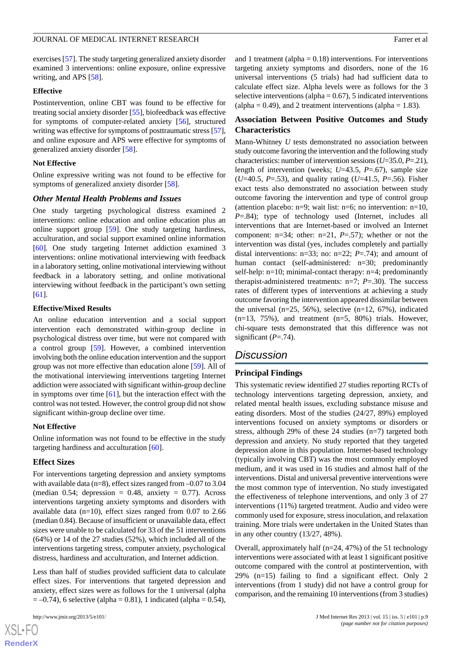#### JOURNAL OF MEDICAL INTERNET RESEARCH FARRY EXAMPLE THE SERVICE OF A Farrer et al.

exercises [[57\]](#page-12-13). The study targeting generalized anxiety disorder examined 3 interventions: online exposure, online expressive writing, and APS [[58\]](#page-12-14).

#### **Effective**

Postintervention, online CBT was found to be effective for treating social anxiety disorder [[55\]](#page-12-11), biofeedback was effective for symptoms of computer-related anxiety [[56\]](#page-12-12), structured writing was effective for symptoms of posttraumatic stress [[57\]](#page-12-13), and online exposure and APS were effective for symptoms of generalized anxiety disorder [[58\]](#page-12-14).

#### **Not Effective**

Online expressive writing was not found to be effective for symptoms of generalized anxiety disorder [\[58](#page-12-14)].

#### *Other Mental Health Problems and Issues*

One study targeting psychological distress examined 2 interventions: online education and online education plus an online support group [\[59](#page-12-15)]. One study targeting hardiness, acculturation, and social support examined online information [[60\]](#page-12-16). One study targeting Internet addiction examined 3 interventions: online motivational interviewing with feedback in a laboratory setting, online motivational interviewing without feedback in a laboratory setting, and online motivational interviewing without feedback in the participant's own setting [[61\]](#page-13-0).

#### **Effective/Mixed Results**

An online education intervention and a social support intervention each demonstrated within-group decline in psychological distress over time, but were not compared with a control group [[59\]](#page-12-15). However, a combined intervention involving both the online education intervention and the support group was not more effective than education alone [[59\]](#page-12-15). All of the motivational interviewing interventions targeting Internet addiction were associated with significant within-group decline in symptoms over time  $[61]$  $[61]$ , but the interaction effect with the control was not tested. However, the control group did not show significant within-group decline over time.

#### **Not Effective**

Online information was not found to be effective in the study targeting hardiness and acculturation [[60\]](#page-12-16).

# **Effect Sizes**

For interventions targeting depression and anxiety symptoms with available data (n=8), effect sizes ranged from  $-0.07$  to 3.04 (median 0.54; depression = 0.48, anxiety = 0.77). Across interventions targeting anxiety symptoms and disorders with available data (n=10), effect sizes ranged from 0.07 to 2.66 (median 0.84). Because of insufficient or unavailable data, effect sizes were unable to be calculated for 33 of the 51 interventions (64%) or 14 of the 27 studies (52%), which included all of the interventions targeting stress, computer anxiety, psychological distress, hardiness and acculturation, and Internet addiction.

Less than half of studies provided sufficient data to calculate effect sizes. For interventions that targeted depression and anxiety, effect sizes were as follows for the 1 universal (alpha  $= -0.74$ ), 6 selective (alpha = 0.81), 1 indicated (alpha = 0.54),

 $XS$ -FO **[RenderX](http://www.renderx.com/)** and 1 treatment (alpha  $= 0.18$ ) interventions. For interventions targeting anxiety symptoms and disorders, none of the 16 universal interventions (5 trials) had had sufficient data to calculate effect size. Alpha levels were as follows for the 3 selective interventions (alpha =  $0.67$ ), 5 indicated interventions (alpha =  $0.49$ ), and 2 treatment interventions (alpha = 1.83).

# **Association Between Positive Outcomes and Study Characteristics**

Mann-Whitney *U* tests demonstrated no association between study outcome favoring the intervention and the following study characteristics: number of intervention sessions (*U*=35.0, *P*=.21), length of intervention (weeks; *U*=43.5, *P*=.67), sample size (*U*=40.5, *P*=.53), and quality rating (*U*=41.5, *P*=.56). Fisher exact tests also demonstrated no association between study outcome favoring the intervention and type of control group (attention placebo: n=9; wait list: n=6; no intervention: n=10, *P*=.84); type of technology used (Internet, includes all interventions that are Internet-based or involved an Internet component: n=34; other: n=21, *P*=.57); whether or not the intervention was distal (yes, includes completely and partially distal interventions: n=33; no: n=22; *P*=.74); and amount of human contact (self-administered: n=30; predominantly self-help: n=10; minimal-contact therapy: n=4; predominantly therapist-administered treatments: n=7; *P*=.30). The success rates of different types of interventions at achieving a study outcome favoring the intervention appeared dissimilar between the universal  $(n=25, 56\%)$ , selective  $(n=12, 67\%)$ , indicated  $(n=13, 75\%)$ , and treatment  $(n=5, 80\%)$  trials. However, chi-square tests demonstrated that this difference was not significant  $(P=.74)$ .

# *Discussion*

# **Principal Findings**

This systematic review identified 27 studies reporting RCTs of technology interventions targeting depression, anxiety, and related mental health issues, excluding substance misuse and eating disorders. Most of the studies (24/27, 89%) employed interventions focused on anxiety symptoms or disorders or stress, although 29% of these 24 studies (n=7) targeted both depression and anxiety. No study reported that they targeted depression alone in this population. Internet-based technology (typically involving CBT) was the most commonly employed medium, and it was used in 16 studies and almost half of the interventions. Distal and universal preventive interventions were the most common type of intervention. No study investigated the effectiveness of telephone interventions, and only 3 of 27 interventions (11%) targeted treatment. Audio and video were commonly used for exposure, stress inoculation, and relaxation training. More trials were undertaken in the United States than in any other country (13/27, 48%).

Overall, approximately half (n=24, 47%) of the 51 technology interventions were associated with at least 1 significant positive outcome compared with the control at postintervention, with 29% (n=15) failing to find a significant effect. Only 2 interventions (from 1 study) did not have a control group for comparison, and the remaining 10 interventions (from 3 studies)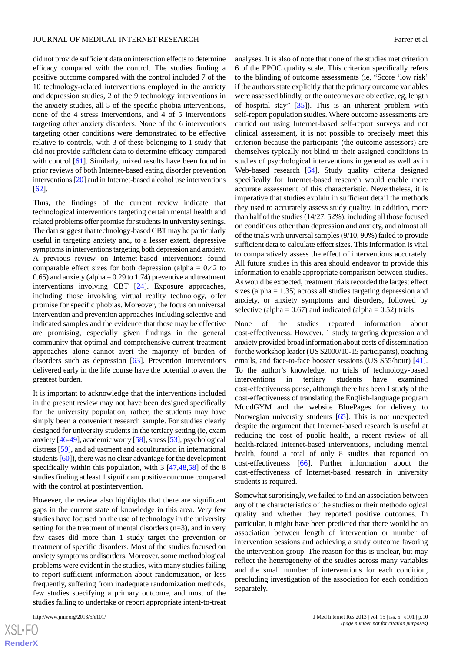did not provide sufficient data on interaction effects to determine efficacy compared with the control. The studies finding a positive outcome compared with the control included 7 of the 10 technology-related interventions employed in the anxiety and depression studies, 2 of the 9 technology interventions in the anxiety studies, all 5 of the specific phobia interventions, none of the 4 stress interventions, and 4 of 5 interventions targeting other anxiety disorders. None of the 6 interventions targeting other conditions were demonstrated to be effective relative to controls, with 3 of these belonging to 1 study that did not provide sufficient data to determine efficacy compared with control [[61\]](#page-13-0). Similarly, mixed results have been found in prior reviews of both Internet-based eating disorder prevention interventions [\[20\]](#page-11-20) and in Internet-based alcohol use interventions [[62\]](#page-13-1).

Thus, the findings of the current review indicate that technological interventions targeting certain mental health and related problems offer promise for students in university settings. The data suggest that technology-based CBT may be particularly useful in targeting anxiety and, to a lesser extent, depressive symptoms in interventions targeting both depression and anxiety. A previous review on Internet-based interventions found comparable effect sizes for both depression (alpha  $= 0.42$  to  $(0.65)$  and anxiety (alpha = 0.29 to 1.74) preventive and treatment interventions involving CBT [\[24](#page-11-21)]. Exposure approaches, including those involving virtual reality technology, offer promise for specific phobias. Moreover, the focus on universal intervention and prevention approaches including selective and indicated samples and the evidence that these may be effective are promising, especially given findings in the general community that optimal and comprehensive current treatment approaches alone cannot avert the majority of burden of disorders such as depression [\[63](#page-13-2)]. Prevention interventions delivered early in the life course have the potential to avert the greatest burden.

It is important to acknowledge that the interventions included in the present review may not have been designed specifically for the university population; rather, the students may have simply been a convenient research sample. For studies clearly designed for university students in the tertiary setting (ie, exam anxiety [[46](#page-12-5)-[49\]](#page-12-6), academic worry [\[58\]](#page-12-14), stress [[53](#page-12-9)], psychological distress [\[59](#page-12-15)], and adjustment and acculturation in international students [[60\]](#page-12-16)), there was no clear advantage for the development specifically within this population, with 3 [\[47](#page-12-23),[48](#page-12-24)[,58](#page-12-14)] of the 8 studies finding at least 1 significant positive outcome compared with the control at postintervention.

However, the review also highlights that there are significant gaps in the current state of knowledge in this area. Very few studies have focused on the use of technology in the university setting for the treatment of mental disorders (n=3), and in very few cases did more than 1 study target the prevention or treatment of specific disorders. Most of the studies focused on anxiety symptoms or disorders. Moreover, some methodological problems were evident in the studies, with many studies failing to report sufficient information about randomization, or less frequently, suffering from inadequate randomization methods, few studies specifying a primary outcome, and most of the studies failing to undertake or report appropriate intent-to-treat

analyses. It is also of note that none of the studies met criterion 6 of the EPOC quality scale. This criterion specifically refers to the blinding of outcome assessments (ie, "Score 'low risk' if the authors state explicitly that the primary outcome variables were assessed blindly, or the outcomes are objective, eg, length of hospital stay" [[35\]](#page-12-0)). This is an inherent problem with self-report population studies. Where outcome assessments are carried out using Internet-based self-report surveys and not clinical assessment, it is not possible to precisely meet this criterion because the participants (the outcome assessors) are themselves typically not blind to their assigned conditions in studies of psychological interventions in general as well as in Web-based research [[64\]](#page-13-3). Study quality criteria designed specifically for Internet-based research would enable more accurate assessment of this characteristic. Nevertheless, it is imperative that studies explain in sufficient detail the methods they used to accurately assess study quality. In addition, more than half of the studies (14/27, 52%), including all those focused on conditions other than depression and anxiety, and almost all of the trials with universal samples (9/10, 90%) failed to provide sufficient data to calculate effect sizes. This information is vital to comparatively assess the effect of interventions accurately. All future studies in this area should endeavor to provide this information to enable appropriate comparison between studies. As would be expected, treatment trials recorded the largest effect sizes (alpha  $= 1.35$ ) across all studies targeting depression and anxiety, or anxiety symptoms and disorders, followed by selective (alpha =  $0.67$ ) and indicated (alpha =  $0.52$ ) trials.

None of the studies reported information about cost-effectiveness. However, 1 study targeting depression and anxiety provided broad information about costs of dissemination for the workshop leader (US \$2000/10-15 participants), coaching emails, and face-to-face booster sessions (US \$55/hour) [[41\]](#page-12-19). To the author's knowledge, no trials of technology-based interventions in tertiary students have examined cost-effectiveness per se, although there has been 1 study of the cost-effectiveness of translating the English-language program MoodGYM and the website BluePages for delivery to Norwegian university students [[65\]](#page-13-4). This is not unexpected despite the argument that Internet-based research is useful at reducing the cost of public health, a recent review of all health-related Internet-based interventions, including mental health, found a total of only 8 studies that reported on cost-effectiveness [[66\]](#page-13-5). Further information about the cost-effectiveness of Internet-based research in university students is required.

Somewhat surprisingly, we failed to find an association between any of the characteristics of the studies or their methodological quality and whether they reported positive outcomes. In particular, it might have been predicted that there would be an association between length of intervention or number of intervention sessions and achieving a study outcome favoring the intervention group. The reason for this is unclear, but may reflect the heterogeneity of the studies across many variables and the small number of interventions for each condition, precluding investigation of the association for each condition separately.

```
XSL•FO
RenderX
```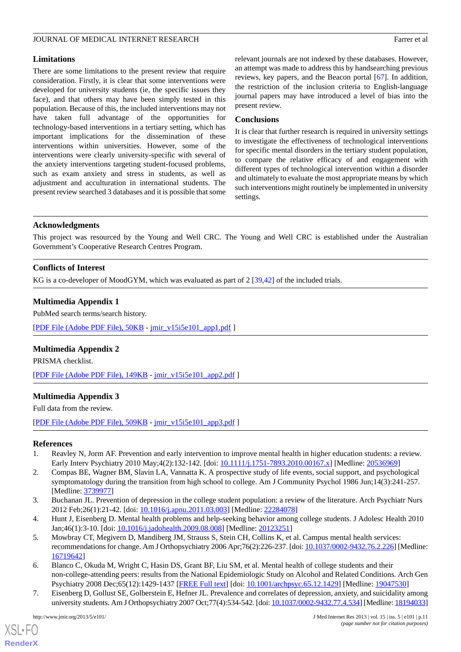# **Limitations**

There are some limitations to the present review that require consideration. Firstly, it is clear that some interventions were developed for university students (ie, the specific issues they face), and that others may have been simply tested in this population. Because of this, the included interventions may not have taken full advantage of the opportunities for technology-based interventions in a tertiary setting, which has important implications for the dissemination of these interventions within universities. However, some of the interventions were clearly university-specific with several of the anxiety interventions targeting student-focused problems, such as exam anxiety and stress in students, as well as adjustment and acculturation in international students. The present review searched 3 databases and it is possible that some relevant journals are not indexed by these databases. However, an attempt was made to address this by handsearching previous reviews, key papers, and the Beacon portal [\[67](#page-13-6)]. In addition, the restriction of the inclusion criteria to English-language journal papers may have introduced a level of bias into the present review.

# **Conclusions**

It is clear that further research is required in university settings to investigate the effectiveness of technological interventions for specific mental disorders in the tertiary student population, to compare the relative efficacy of and engagement with different types of technological intervention within a disorder and ultimately to evaluate the most appropriate means by which such interventions might routinely be implemented in university settings.

# **Acknowledgments**

This project was resourced by the Young and Well CRC. The Young and Well CRC is established under the Australian Government's Cooperative Research Centres Program.

# **Conflicts of Interest**

KG is a co-developer of MoodGYM, which was evaluated as part of 2 [[39,](#page-12-20)[42](#page-12-2)] of the included trials.

# **Multimedia Appendix 1**

PubMed search terms/search history.

[[PDF File \(Adobe PDF File\), 50KB](http://www.jmir.org/article/downloadSuppFile/2639/7756) - [jmir\\_v15i5e101\\_app1.pdf](http://www.jmir.org/article/downloadSuppFile/2639/7756) ]

# **Multimedia Appendix 2**

PRISMA checklist.

[[PDF File \(Adobe PDF File\), 149KB](http://www.jmir.org/article/downloadSuppFile/2639/7755) - [jmir\\_v15i5e101\\_app2.pdf](http://www.jmir.org/article/downloadSuppFile/2639/7755) ]

# **Multimedia Appendix 3**

<span id="page-10-0"></span>Full data from the review.

<span id="page-10-1"></span>[[PDF File \(Adobe PDF File\), 509KB](http://www.jmir.org/article/downloadSuppFile/2639/8018) - [jmir\\_v15i5e101\\_app3.pdf](http://www.jmir.org/article/downloadSuppFile/2639/8018) ]

# **References**

- <span id="page-10-2"></span>1. Reavley N, Jorm AF. Prevention and early intervention to improve mental health in higher education students: a review. Early Interv Psychiatry 2010 May;4(2):132-142. [doi: [10.1111/j.1751-7893.2010.00167.x\]](http://dx.doi.org/10.1111/j.1751-7893.2010.00167.x) [Medline: [20536969\]](http://www.ncbi.nlm.nih.gov/entrez/query.fcgi?cmd=Retrieve&db=PubMed&list_uids=20536969&dopt=Abstract)
- <span id="page-10-6"></span><span id="page-10-3"></span>2. Compas BE, Wagner BM, Slavin LA, Vannatta K. A prospective study of life events, social support, and psychological symptomatology during the transition from high school to college. Am J Community Psychol 1986 Jun;14(3):241-257. [Medline: [3739977\]](http://www.ncbi.nlm.nih.gov/entrez/query.fcgi?cmd=Retrieve&db=PubMed&list_uids=3739977&dopt=Abstract)
- <span id="page-10-4"></span>3. Buchanan JL. Prevention of depression in the college student population: a review of the literature. Arch Psychiatr Nurs 2012 Feb;26(1):21-42. [doi: [10.1016/j.apnu.2011.03.003\]](http://dx.doi.org/10.1016/j.apnu.2011.03.003) [Medline: [22284078](http://www.ncbi.nlm.nih.gov/entrez/query.fcgi?cmd=Retrieve&db=PubMed&list_uids=22284078&dopt=Abstract)]
- 4. Hunt J, Eisenberg D. Mental health problems and help-seeking behavior among college students. J Adolesc Health 2010 Jan;46(1):3-10. [doi: [10.1016/j.jadohealth.2009.08.008](http://dx.doi.org/10.1016/j.jadohealth.2009.08.008)] [Medline: [20123251](http://www.ncbi.nlm.nih.gov/entrez/query.fcgi?cmd=Retrieve&db=PubMed&list_uids=20123251&dopt=Abstract)]
- <span id="page-10-5"></span>5. Mowbray CT, Megivern D, Mandiberg JM, Strauss S, Stein CH, Collins K, et al. Campus mental health services: recommendations for change. Am J Orthopsychiatry 2006 Apr;76(2):226-237. [doi: [10.1037/0002-9432.76.2.226\]](http://dx.doi.org/10.1037/0002-9432.76.2.226) [Medline: [16719642](http://www.ncbi.nlm.nih.gov/entrez/query.fcgi?cmd=Retrieve&db=PubMed&list_uids=16719642&dopt=Abstract)]
- 6. Blanco C, Okuda M, Wright C, Hasin DS, Grant BF, Liu SM, et al. Mental health of college students and their non-college-attending peers: results from the National Epidemiologic Study on Alcohol and Related Conditions. Arch Gen Psychiatry 2008 Dec;65(12):1429-1437 [\[FREE Full text\]](http://europepmc.org/abstract/MED/19047530) [doi: [10.1001/archpsyc.65.12.1429](http://dx.doi.org/10.1001/archpsyc.65.12.1429)] [Medline: [19047530\]](http://www.ncbi.nlm.nih.gov/entrez/query.fcgi?cmd=Retrieve&db=PubMed&list_uids=19047530&dopt=Abstract)
- 7. Eisenberg D, Gollust SE, Golberstein E, Hefner JL. Prevalence and correlates of depression, anxiety, and suicidality among university students. Am J Orthopsychiatry 2007 Oct; 77(4): 534-542. [doi: [10.1037/0002-9432.77.4.534\]](http://dx.doi.org/10.1037/0002-9432.77.4.534) [Medline: [18194033\]](http://www.ncbi.nlm.nih.gov/entrez/query.fcgi?cmd=Retrieve&db=PubMed&list_uids=18194033&dopt=Abstract)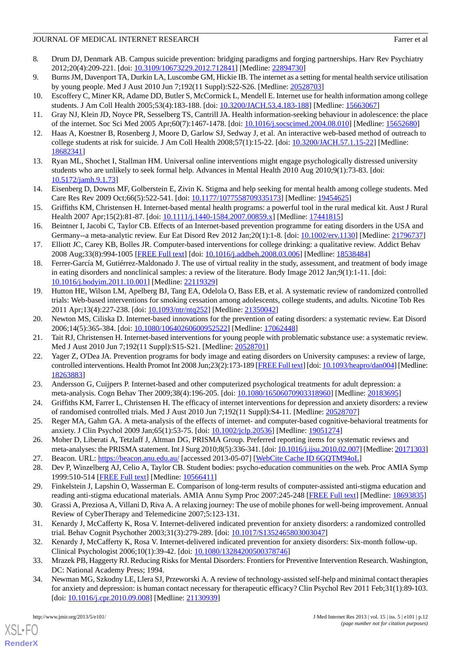# JOURNAL OF MEDICAL INTERNET RESEARCH FARRY CONTROLLER TO A SERIES FAILURE AT A SERIES OF MEDICAL INTERNET RESEARCH

- <span id="page-11-0"></span>8. Drum DJ, Denmark AB. Campus suicide prevention: bridging paradigms and forging partnerships. Harv Rev Psychiatry 2012;20(4):209-221. [doi: [10.3109/10673229.2012.712841\]](http://dx.doi.org/10.3109/10673229.2012.712841) [Medline: [22894730\]](http://www.ncbi.nlm.nih.gov/entrez/query.fcgi?cmd=Retrieve&db=PubMed&list_uids=22894730&dopt=Abstract)
- <span id="page-11-1"></span>9. Burns JM, Davenport TA, Durkin LA, Luscombe GM, Hickie IB. The internet as a setting for mental health service utilisation by young people. Med J Aust 2010 Jun 7;192(11 Suppl):S22-S26. [Medline: [20528703](http://www.ncbi.nlm.nih.gov/entrez/query.fcgi?cmd=Retrieve&db=PubMed&list_uids=20528703&dopt=Abstract)]
- <span id="page-11-2"></span>10. Escoffery C, Miner KR, Adame DD, Butler S, McCormick L, Mendell E. Internet use for health information among college students. J Am Coll Health 2005;53(4):183-188. [doi: [10.3200/JACH.53.4.183-188](http://dx.doi.org/10.3200/JACH.53.4.183-188)] [Medline: [15663067\]](http://www.ncbi.nlm.nih.gov/entrez/query.fcgi?cmd=Retrieve&db=PubMed&list_uids=15663067&dopt=Abstract)
- <span id="page-11-3"></span>11. Gray NJ, Klein JD, Noyce PR, Sesselberg TS, Cantrill JA. Health information-seeking behaviour in adolescence: the place of the internet. Soc Sci Med 2005 Apr;60(7):1467-1478. [doi: [10.1016/j.socscimed.2004.08.010\]](http://dx.doi.org/10.1016/j.socscimed.2004.08.010) [Medline: [15652680\]](http://www.ncbi.nlm.nih.gov/entrez/query.fcgi?cmd=Retrieve&db=PubMed&list_uids=15652680&dopt=Abstract)
- <span id="page-11-4"></span>12. Haas A, Koestner B, Rosenberg J, Moore D, Garlow SJ, Sedway J, et al. An interactive web-based method of outreach to college students at risk for suicide. J Am Coll Health 2008;57(1):15-22. [doi: [10.3200/JACH.57.1.15-22\]](http://dx.doi.org/10.3200/JACH.57.1.15-22) [Medline: [18682341](http://www.ncbi.nlm.nih.gov/entrez/query.fcgi?cmd=Retrieve&db=PubMed&list_uids=18682341&dopt=Abstract)]
- <span id="page-11-5"></span>13. Ryan ML, Shochet I, Stallman HM. Universal online interventions might engage psychologically distressed university students who are unlikely to seek formal help. Advances in Mental Health 2010 Aug 2010;9(1):73-83. [doi: [10.5172/jamh.9.1.73](http://dx.doi.org/10.5172/jamh.9.1.73)]
- <span id="page-11-6"></span>14. Eisenberg D, Downs MF, Golberstein E, Zivin K. Stigma and help seeking for mental health among college students. Med Care Res Rev 2009 Oct;66(5):522-541. [doi: [10.1177/1077558709335173\]](http://dx.doi.org/10.1177/1077558709335173) [Medline: [19454625\]](http://www.ncbi.nlm.nih.gov/entrez/query.fcgi?cmd=Retrieve&db=PubMed&list_uids=19454625&dopt=Abstract)
- <span id="page-11-7"></span>15. Griffiths KM, Christensen H. Internet-based mental health programs: a powerful tool in the rural medical kit. Aust J Rural Health 2007 Apr;15(2):81-87. [doi: [10.1111/j.1440-1584.2007.00859.x](http://dx.doi.org/10.1111/j.1440-1584.2007.00859.x)] [Medline: [17441815\]](http://www.ncbi.nlm.nih.gov/entrez/query.fcgi?cmd=Retrieve&db=PubMed&list_uids=17441815&dopt=Abstract)
- 16. Beintner I, Jacobi C, Taylor CB. Effects of an Internet-based prevention programme for eating disorders in the USA and Germany--a meta-analytic review. Eur Eat Disord Rev 2012 Jan;20(1):1-8. [doi: [10.1002/erv.1130\]](http://dx.doi.org/10.1002/erv.1130) [Medline: [21796737](http://www.ncbi.nlm.nih.gov/entrez/query.fcgi?cmd=Retrieve&db=PubMed&list_uids=21796737&dopt=Abstract)]
- 17. Elliott JC, Carey KB, Bolles JR. Computer-based interventions for college drinking: a qualitative review. Addict Behav 2008 Aug;33(8):994-1005 [[FREE Full text](http://europepmc.org/abstract/MED/18538484)] [doi: [10.1016/j.addbeh.2008.03.006](http://dx.doi.org/10.1016/j.addbeh.2008.03.006)] [Medline: [18538484\]](http://www.ncbi.nlm.nih.gov/entrez/query.fcgi?cmd=Retrieve&db=PubMed&list_uids=18538484&dopt=Abstract)
- 18. Ferrer-García M, Gutiérrez-Maldonado J. The use of virtual reality in the study, assessment, and treatment of body image in eating disorders and nonclinical samples: a review of the literature. Body Image 2012 Jan;9(1):1-11. [doi: [10.1016/j.bodyim.2011.10.001](http://dx.doi.org/10.1016/j.bodyim.2011.10.001)] [Medline: [22119329\]](http://www.ncbi.nlm.nih.gov/entrez/query.fcgi?cmd=Retrieve&db=PubMed&list_uids=22119329&dopt=Abstract)
- <span id="page-11-20"></span>19. Hutton HE, Wilson LM, Apelberg BJ, Tang EA, Odelola O, Bass EB, et al. A systematic review of randomized controlled trials: Web-based interventions for smoking cessation among adolescents, college students, and adults. Nicotine Tob Res 2011 Apr;13(4):227-238. [doi: [10.1093/ntr/ntq252](http://dx.doi.org/10.1093/ntr/ntq252)] [Medline: [21350042](http://www.ncbi.nlm.nih.gov/entrez/query.fcgi?cmd=Retrieve&db=PubMed&list_uids=21350042&dopt=Abstract)]
- <span id="page-11-8"></span>20. Newton MS, Ciliska D. Internet-based innovations for the prevention of eating disorders: a systematic review. Eat Disord 2006;14(5):365-384. [doi: [10.1080/10640260600952522\]](http://dx.doi.org/10.1080/10640260600952522) [Medline: [17062448\]](http://www.ncbi.nlm.nih.gov/entrez/query.fcgi?cmd=Retrieve&db=PubMed&list_uids=17062448&dopt=Abstract)
- <span id="page-11-9"></span>21. Tait RJ, Christensen H. Internet-based interventions for young people with problematic substance use: a systematic review. Med J Aust 2010 Jun 7;192(11 Suppl):S15-S21. [Medline: [20528701\]](http://www.ncbi.nlm.nih.gov/entrez/query.fcgi?cmd=Retrieve&db=PubMed&list_uids=20528701&dopt=Abstract)
- <span id="page-11-21"></span>22. Yager Z, O'Dea JA. Prevention programs for body image and eating disorders on University campuses: a review of large, controlled interventions. Health Promot Int 2008 Jun;23(2):173-189 [\[FREE Full text](http://heapro.oxfordjournals.org/cgi/pmidlookup?view=long&pmid=18263883)] [doi: [10.1093/heapro/dan004](http://dx.doi.org/10.1093/heapro/dan004)] [Medline: [18263883](http://www.ncbi.nlm.nih.gov/entrez/query.fcgi?cmd=Retrieve&db=PubMed&list_uids=18263883&dopt=Abstract)]
- <span id="page-11-10"></span>23. Andersson G, Cuijpers P. Internet-based and other computerized psychological treatments for adult depression: a meta-analysis. Cogn Behav Ther 2009;38(4):196-205. [doi: [10.1080/16506070903318960](http://dx.doi.org/10.1080/16506070903318960)] [Medline: [20183695\]](http://www.ncbi.nlm.nih.gov/entrez/query.fcgi?cmd=Retrieve&db=PubMed&list_uids=20183695&dopt=Abstract)
- <span id="page-11-11"></span>24. Griffiths KM, Farrer L, Christensen H. The efficacy of internet interventions for depression and anxiety disorders: a review of randomised controlled trials. Med J Aust 2010 Jun 7;192(11 Suppl):S4-11. [Medline: [20528707\]](http://www.ncbi.nlm.nih.gov/entrez/query.fcgi?cmd=Retrieve&db=PubMed&list_uids=20528707&dopt=Abstract)
- <span id="page-11-13"></span><span id="page-11-12"></span>25. Reger MA, Gahm GA. A meta-analysis of the effects of internet- and computer-based cognitive-behavioral treatments for anxiety. J Clin Psychol 2009 Jan;65(1):53-75. [doi: [10.1002/jclp.20536](http://dx.doi.org/10.1002/jclp.20536)] [Medline: [19051274\]](http://www.ncbi.nlm.nih.gov/entrez/query.fcgi?cmd=Retrieve&db=PubMed&list_uids=19051274&dopt=Abstract)
- <span id="page-11-15"></span>26. Moher D, Liberati A, Tetzlaff J, Altman DG, PRISMA Group. Preferred reporting items for systematic reviews and meta-analyses: the PRISMA statement. Int J Surg 2010;8(5):336-341. [doi: 10.1016/j.j.jsu.2010.02.007] [Medline: [20171303\]](http://www.ncbi.nlm.nih.gov/entrez/query.fcgi?cmd=Retrieve&db=PubMed&list_uids=20171303&dopt=Abstract)
- <span id="page-11-14"></span>27. Beacon. URL: <https://beacon.anu.edu.au/> [accessed 2013-05-07] [[WebCite Cache ID 6GQTM94oL\]](http://www.webcitation.org/6GQTM94oL)
- <span id="page-11-16"></span>28. Dev P, Winzelberg AJ, Celio A, Taylor CB. Student bodies: psycho-education communities on the web. Proc AMIA Symp 1999:510-514 [\[FREE Full text\]](http://europepmc.org/abstract/MED/10566411) [Medline: [10566411\]](http://www.ncbi.nlm.nih.gov/entrez/query.fcgi?cmd=Retrieve&db=PubMed&list_uids=10566411&dopt=Abstract)
- <span id="page-11-17"></span>29. Finkelstein J, Lapshin O, Wasserman E. Comparison of long-term results of computer-assisted anti-stigma education and reading anti-stigma educational materials. AMIA Annu Symp Proc 2007:245-248 [\[FREE Full text\]](http://europepmc.org/abstract/MED/18693835) [Medline: [18693835\]](http://www.ncbi.nlm.nih.gov/entrez/query.fcgi?cmd=Retrieve&db=PubMed&list_uids=18693835&dopt=Abstract)
- <span id="page-11-18"></span>30. Grassi A, Preziosa A, Villani D, Riva A. A relaxing journey: The use of mobile phones for well-being improvement. Annual Review of CyberTherapy and Telemedicine 2007;5:123-131.
- <span id="page-11-19"></span>31. Kenardy J, McCafferty K, Rosa V. Internet-delivered indicated prevention for anxiety disorders: a randomized controlled trial. Behav Cognit Psychother 2003;31(3):279-289. [doi: [10.1017/S1352465803003047\]](http://dx.doi.org/10.1017/S1352465803003047)
- 32. Kenardy J, McCafferty K, Rosa V. Internet-delivered indicated prevention for anxiety disorders: Six-month follow-up. Clinical Psychologist 2006;10(1):39-42. [doi: [10.1080/13284200500378746\]](http://dx.doi.org/10.1080/13284200500378746)
- 33. Mrazek PB, Haggerty RJ. Reducing Risks for Mental Disorders: Frontiers for Preventive Intervention Research. Washington, DC: National Academy Press; 1994.
- 34. Newman MG, Szkodny LE, Llera SJ, Przeworski A. A review of technology-assisted self-help and minimal contact therapies for anxiety and depression: is human contact necessary for therapeutic efficacy? Clin Psychol Rev 2011 Feb;31(1):89-103. [doi: [10.1016/j.cpr.2010.09.008](http://dx.doi.org/10.1016/j.cpr.2010.09.008)] [Medline: [21130939\]](http://www.ncbi.nlm.nih.gov/entrez/query.fcgi?cmd=Retrieve&db=PubMed&list_uids=21130939&dopt=Abstract)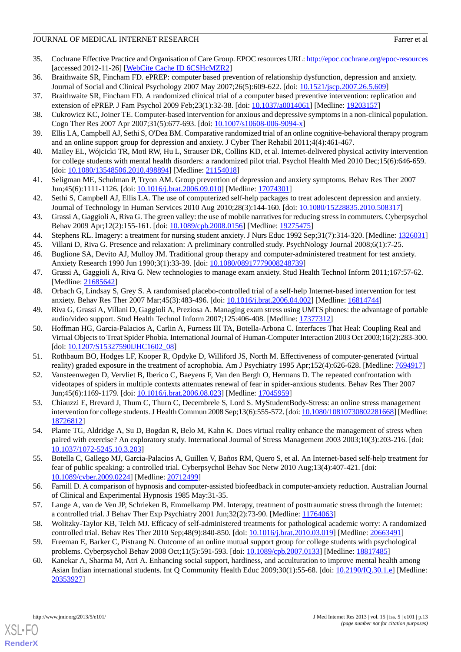# JOURNAL OF MEDICAL INTERNET RESEARCH FARRY EXAMPLE THE SERVICE OF A FAILURE AND FAILURE AT A FAILURE AT A FAILURE AT A FAILURE AT A FAILURE AT A FAILURE AT A FAILURE AT A FAILURE AT A FAILURE AT A FAILURE AT A FAILURE AT A

- <span id="page-12-0"></span>35. Cochrane Effective Practice and Organisation of Care Group. EPOC resources URL:<http://epoc.cochrane.org/epoc-resources> [accessed 2012-11-26] [\[WebCite Cache ID 6CSHcMZR2](http://www.webcitation.org/6CSHcMZR2)]
- <span id="page-12-25"></span><span id="page-12-1"></span>36. Braithwaite SR, Fincham FD. ePREP: computer based prevention of relationship dysfunction, depression and anxiety. Journal of Social and Clinical Psychology 2007 May 2007;26(5):609-622. [doi: [10.1521/jscp.2007.26.5.609\]](http://dx.doi.org/10.1521/jscp.2007.26.5.609)
- <span id="page-12-17"></span>37. Braithwaite SR, Fincham FD. A randomized clinical trial of a computer based preventive intervention: replication and extension of ePREP. J Fam Psychol 2009 Feb;23(1):32-38. [doi: [10.1037/a0014061](http://dx.doi.org/10.1037/a0014061)] [Medline: [19203157\]](http://www.ncbi.nlm.nih.gov/entrez/query.fcgi?cmd=Retrieve&db=PubMed&list_uids=19203157&dopt=Abstract)
- <span id="page-12-20"></span>38. Cukrowicz KC, Joiner TE. Computer-based intervention for anxious and depressive symptoms in a non-clinical population. Cogn Ther Res 2007 Apr 2007;31(5):677-693. [doi: [10.1007/s10608-006-9094-x](http://dx.doi.org/10.1007/s10608-006-9094-x)]
- <span id="page-12-18"></span>39. Ellis LA, Campbell AJ, Sethi S, O'Dea BM. Comparative randomized trial of an online cognitive-behavioral therapy program and an online support group for depression and anxiety. J Cyber Ther Rehabil 2011;4(4):461-467.
- <span id="page-12-19"></span>40. Mailey EL, Wójcicki TR, Motl RW, Hu L, Strauser DR, Collins KD, et al. Internet-delivered physical activity intervention for college students with mental health disorders: a randomized pilot trial. Psychol Health Med 2010 Dec;15(6):646-659. [doi: [10.1080/13548506.2010.498894](http://dx.doi.org/10.1080/13548506.2010.498894)] [Medline: [21154018\]](http://www.ncbi.nlm.nih.gov/entrez/query.fcgi?cmd=Retrieve&db=PubMed&list_uids=21154018&dopt=Abstract)
- <span id="page-12-2"></span>41. Seligman ME, Schulman P, Tryon AM. Group prevention of depression and anxiety symptoms. Behav Res Ther 2007 Jun;45(6):1111-1126. [doi: [10.1016/j.brat.2006.09.010\]](http://dx.doi.org/10.1016/j.brat.2006.09.010) [Medline: [17074301\]](http://www.ncbi.nlm.nih.gov/entrez/query.fcgi?cmd=Retrieve&db=PubMed&list_uids=17074301&dopt=Abstract)
- <span id="page-12-3"></span>42. Sethi S, Campbell AJ, Ellis LA. The use of computerized self-help packages to treat adolescent depression and anxiety. Journal of Technology in Human Services 2010 Aug 2010;28(3):144-160. [doi: [10.1080/15228835.2010.508317\]](http://dx.doi.org/10.1080/15228835.2010.508317)
- <span id="page-12-21"></span><span id="page-12-4"></span>43. Grassi A, Gaggioli A, Riva G. The green valley: the use of mobile narratives for reducing stress in commuters. Cyberpsychol Behav 2009 Apr;12(2):155-161. [doi: [10.1089/cpb.2008.0156\]](http://dx.doi.org/10.1089/cpb.2008.0156) [Medline: [19275475\]](http://www.ncbi.nlm.nih.gov/entrez/query.fcgi?cmd=Retrieve&db=PubMed&list_uids=19275475&dopt=Abstract)
- <span id="page-12-5"></span>44. Stephens RL. Imagery: a treatment for nursing student anxiety. J Nurs Educ 1992 Sep;31(7):314-320. [Medline: [1326031](http://www.ncbi.nlm.nih.gov/entrez/query.fcgi?cmd=Retrieve&db=PubMed&list_uids=1326031&dopt=Abstract)]
- <span id="page-12-23"></span>45. Villani D, Riva G. Presence and relaxation: A preliminary controlled study. PsychNology Journal 2008;6(1):7-25.
- <span id="page-12-24"></span>46. Buglione SA, Devito AJ, Mulloy JM. Traditional group therapy and computer-administered treatment for test anxiety. Anxiety Research 1990 Jun 1990;3(1):33-39. [doi: [10.1080/08917779008248739\]](http://dx.doi.org/10.1080/08917779008248739)
- <span id="page-12-6"></span>47. Grassi A, Gaggioli A, Riva G. New technologies to manage exam anxiety. Stud Health Technol Inform 2011;167:57-62. [Medline: [21685642](http://www.ncbi.nlm.nih.gov/entrez/query.fcgi?cmd=Retrieve&db=PubMed&list_uids=21685642&dopt=Abstract)]
- <span id="page-12-7"></span>48. Orbach G, Lindsay S, Grey S. A randomised placebo-controlled trial of a self-help Internet-based intervention for test anxiety. Behav Res Ther 2007 Mar; 45(3): 483-496. [doi: [10.1016/j.brat.2006.04.002\]](http://dx.doi.org/10.1016/j.brat.2006.04.002) [Medline: [16814744\]](http://www.ncbi.nlm.nih.gov/entrez/query.fcgi?cmd=Retrieve&db=PubMed&list_uids=16814744&dopt=Abstract)
- 49. Riva G, Grassi A, Villani D, Gaggioli A, Preziosa A. Managing exam stress using UMTS phones: the advantage of portable audio/video support. Stud Health Technol Inform 2007;125:406-408. [Medline: [17377312\]](http://www.ncbi.nlm.nih.gov/entrez/query.fcgi?cmd=Retrieve&db=PubMed&list_uids=17377312&dopt=Abstract)
- <span id="page-12-22"></span><span id="page-12-8"></span>50. Hoffman HG, Garcia-Palacios A, Carlin A, Furness III TA, Botella-Arbona C. Interfaces That Heal: Coupling Real and Virtual Objects to Treat Spider Phobia. International Journal of Human-Computer Interaction 2003 Oct 2003;16(2):283-300. [doi: [10.1207/S15327590IJHC1602\\_08\]](http://dx.doi.org/10.1207/S15327590IJHC1602_08)
- <span id="page-12-9"></span>51. Rothbaum BO, Hodges LF, Kooper R, Opdyke D, Williford JS, North M. Effectiveness of computer-generated (virtual reality) graded exposure in the treatment of acrophobia. Am J Psychiatry 1995 Apr;152(4):626-628. [Medline: [7694917\]](http://www.ncbi.nlm.nih.gov/entrez/query.fcgi?cmd=Retrieve&db=PubMed&list_uids=7694917&dopt=Abstract)
- <span id="page-12-10"></span>52. Vansteenwegen D, Vervliet B, Iberico C, Baeyens F, Van den Bergh O, Hermans D. The repeated confrontation with videotapes of spiders in multiple contexts attenuates renewal of fear in spider-anxious students. Behav Res Ther 2007 Jun;45(6):1169-1179. [doi: [10.1016/j.brat.2006.08.023\]](http://dx.doi.org/10.1016/j.brat.2006.08.023) [Medline: [17045959\]](http://www.ncbi.nlm.nih.gov/entrez/query.fcgi?cmd=Retrieve&db=PubMed&list_uids=17045959&dopt=Abstract)
- <span id="page-12-11"></span>53. Chiauzzi E, Brevard J, Thum C, Thurn C, Decembrele S, Lord S. MyStudentBody-Stress: an online stress management intervention for college students. J Health Commun 2008 Sep;13(6):555-572. [doi: [10.1080/10810730802281668\]](http://dx.doi.org/10.1080/10810730802281668) [Medline: [18726812](http://www.ncbi.nlm.nih.gov/entrez/query.fcgi?cmd=Retrieve&db=PubMed&list_uids=18726812&dopt=Abstract)]
- <span id="page-12-12"></span>54. Plante TG, Aldridge A, Su D, Bogdan R, Belo M, Kahn K. Does virtual reality enhance the management of stress when paired with exercise? An exploratory study. International Journal of Stress Management 2003 2003;10(3):203-216. [doi: [10.1037/1072-5245.10.3.203\]](http://dx.doi.org/10.1037/1072-5245.10.3.203)
- <span id="page-12-14"></span><span id="page-12-13"></span>55. Botella C, Gallego MJ, Garcia-Palacios A, Guillen V, Baños RM, Quero S, et al. An Internet-based self-help treatment for fear of public speaking: a controlled trial. Cyberpsychol Behav Soc Netw 2010 Aug;13(4):407-421. [doi: [10.1089/cyber.2009.0224](http://dx.doi.org/10.1089/cyber.2009.0224)] [Medline: [20712499](http://www.ncbi.nlm.nih.gov/entrez/query.fcgi?cmd=Retrieve&db=PubMed&list_uids=20712499&dopt=Abstract)]
- <span id="page-12-15"></span>56. Farnill D. A comparison of hypnosis and computer-assisted biofeedback in computer-anxiety reduction. Australian Journal of Clinical and Experimental Hypnosis 1985 May:31-35.
- <span id="page-12-16"></span>57. Lange A, van de Ven JP, Schrieken B, Emmelkamp PM. Interapy, treatment of posttraumatic stress through the Internet: a controlled trial. J Behav Ther Exp Psychiatry 2001 Jun;32(2):73-90. [Medline: [11764063](http://www.ncbi.nlm.nih.gov/entrez/query.fcgi?cmd=Retrieve&db=PubMed&list_uids=11764063&dopt=Abstract)]
- 58. Wolitzky-Taylor KB, Telch MJ. Efficacy of self-administered treatments for pathological academic worry: A randomized controlled trial. Behav Res Ther 2010 Sep;48(9):840-850. [doi: [10.1016/j.brat.2010.03.019](http://dx.doi.org/10.1016/j.brat.2010.03.019)] [Medline: [20663491](http://www.ncbi.nlm.nih.gov/entrez/query.fcgi?cmd=Retrieve&db=PubMed&list_uids=20663491&dopt=Abstract)]
- 59. Freeman E, Barker C, Pistrang N. Outcome of an online mutual support group for college students with psychological problems. Cyberpsychol Behav 2008 Oct;11(5):591-593. [doi: [10.1089/cpb.2007.0133\]](http://dx.doi.org/10.1089/cpb.2007.0133) [Medline: [18817485\]](http://www.ncbi.nlm.nih.gov/entrez/query.fcgi?cmd=Retrieve&db=PubMed&list_uids=18817485&dopt=Abstract)
- 60. Kanekar A, Sharma M, Atri A. Enhancing social support, hardiness, and acculturation to improve mental health among Asian Indian international students. Int Q Community Health Educ 2009;30(1):55-68. [doi: [10.2190/IQ.30.1.e\]](http://dx.doi.org/10.2190/IQ.30.1.e) [Medline: [20353927](http://www.ncbi.nlm.nih.gov/entrez/query.fcgi?cmd=Retrieve&db=PubMed&list_uids=20353927&dopt=Abstract)]